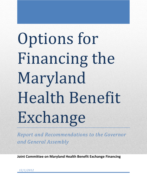# Options for Financing the Maryland Health Benefit Exchange

*Report and Recommendations to the Governor and General Assembly*

**Joint Committee on Maryland Health Benefit Exchange Financing**

*12/1/2012*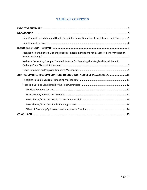# **TABLE OF CONTENTS**

| Joint Committee on Maryland Health Benefit Exchange Financing: Establishment and Charge  5 |
|--------------------------------------------------------------------------------------------|
|                                                                                            |
|                                                                                            |
| Maryland Health Benefit Exchange Board's "Recommendations for a Successful Maryand Health  |
| Wakely's Consulting Group's "Detailed Analysis for Financing the Maryland Health Benefit   |
|                                                                                            |
| JOINT COMMITTEE RECOMMENDATIONS TO GOVERNOR AND GENERAL ASSEMBLY11                         |
|                                                                                            |
|                                                                                            |
|                                                                                            |
|                                                                                            |
|                                                                                            |
|                                                                                            |
|                                                                                            |
|                                                                                            |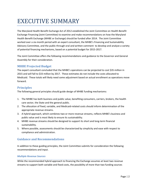# <span id="page-2-0"></span>EXECUTIVE SUMMARY

The Maryland Health Benefit Exchange Act of 2012 established the Joint Committee on Health Benefit Exchange Financing (Joint Committee) to examine and make recommendations on how the Maryland Health Benefit Exchange (MHBE or Exchange) should be funded after 2014. The Joint Committee worked over a six-month period with an expert consultant, the MHBE's Financing and Sustainability Advisory Committee, and the public through oral and written comment to develop and analyze a variety of potential financing mechanisms, based on a potential budget for 2015-2017.

The Joint Committee offers the following recommendations and guidance to the Governor and General Assembly for their consideration.

# **MHBE Projected Budget**

The expert consultant concluded that the MHBE's operations can be projected to cost \$35 million in 2015 and will fall to \$33 million by 2017. These estimates do not include the costs allocated to Medicaid. These totals will likely need some adjustment based on actual enrollment as operations move forward.

#### **Principles**

The following general principles should guide design of MHBE funding mechanisms:

- 1. The MHBE has both business and public value, benefiting consumers, carriers, brokers, the health care sector, the State and the general public.
- 2. The allocation of fixed, variable, and Medicaid-related costs should inform determination of the appropriate revenue streams.
- 3. A hybrid approach, which combines two or more revenue streams, reflects MHBE's business and public value and is most likely to ensure its sustainability.
- 4. MHBE revenue streams should be designed to support its short and long-term financial sustainability.
- 5. Where possible, assessments should be characterized by simplicity and ease with respect to compliance and administration.

# **Guidance and Recommendations**

In addition to these guiding principles, the Joint Committee submits for consideration the following recommendations and input.

#### *Multiple Revenue Sources*

While the recommended hybrid approach to financing the Exchange assumes at least two revenue streams to support both variable and fixed costs, the possibility of more than two funding sources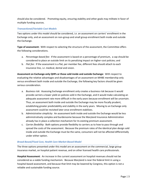should also be considered. Promoting equity, ensuring stability and other goals may militate in favor of multiple funding sources.

#### *Transactional/Variable Cost Models*

Two options under this model should be considered, *i.e*. an assessment on carriers' enrollment in the Exchange only, and an assessment on non-group and small group enrollment both inside and outside the Exchange.

**Type of assessment:** With respect to selecting the structure of the assessment, the Committee offers the following considerations.

- a. *Percentage-based fee*: If the assessment is based on a percentage of premium, a cap should be considered to place an outside limit on its penalizing impact on higher-cost policies; and
- b. *Flat fee*: If the assessment is a flat, per member fee, different fees should attach to each insurance line, *i.e*. medical, dental and vision.

**Assessment on Exchange-only QHPs or those sold inside and outside Exchange:** With respect to evaluating the relative advantages and disadvantages of an assessment on MHBE membership only versus enrollment both inside and outside the Exchange, the following key factors should be given serious consideration.

- a. *Business risk*: Assessing Exchange enrollment only creates a business risk because it would provide carriers a lower yield on policies sold in the Exchange, and it would make calculating an adequate assessment rate more difficult in the early years because enrollment will be uncertain. Thus, an assessment both inside and outside the Exchange may be more fiscally prudent, establishing greater predictability and stability in the early years. Moving to an Exchange only assessment could be revisited later once enrollment stabilizes.
- b. *Administrative simplicity*: An assessment both inside and outside the Exchange would be less administratively complex and burdensome because the Maryland Insurance Administration already has in place a collection mechanism for its existing premium assessment.
- c. *Carrier flexibility*: Both options provide flexibility to carriers as to how to pass through and spread the costs of the assessment. Because the premium rates of the identical plan design sold inside and outside the Exchange must be the same, consumers will not be affected differentially under either option.

#### *Broad-Based/Fixed Cost, Health Care Market-Based Model*

The three options presented under this model are an assessment on the commercial, large group insurance market, on hospital patient revenue, and on other licensed health care professionals.

**Hospital Assessment**: An increase in the current assessment on hospital revenues should not be considered as a viable funding mechanism. Because Maryland is near the federal limit in using a hospital-based assessment, and because that limit may be lowered by Congress, this option is not a reliable and sustainable funding source.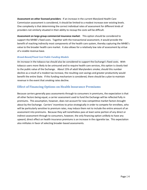**Assessment on other licensed providers**: If an increase in the current Maryland Health Care Commission assessment is considered, it should be limited to a modest increase over existing levels. One complexity is that determining the correct individual rates of assessment for different kinds of providers not similarly situated in their ability to recoup the costs will be difficult.

**Assessment on large group commercial insurance market**: This option should be considered to support the MHBE's fixed costs. Together with the transactional assessment, it would provide the benefit of reaching indirectly most components of the health care system, thereby capturing the MHBE's value to the broader health care market. It also allows for a relatively low rate of assessment by virtue of a sizable revenue base.

#### *Broad-Based/Fixed Cost Public Funding Models*

An increase in the tobacco tax should also be considered to support the Exchange's fixed costs. With tobacco users more likely to be uninsured and to require health care services, this option is closely tied to the public value of the Exchange. About 15% of adult Marylanders smoke; should this number decline as a result of a modest tax increase, the resulting cost savings and greater productivity would benefit the entire State. If this funding mechanism is considered, there should be a plan to maintain revenue in the event that smoking rates decline.

# **Effect of Financing Options on Health Insurance Premiums**

Because carriers generally pass assessments through to consumers in premiums, the expectation is that all other factors being equal, a carrier assessment used to fund the Exchange will be reflected fully in premiums. This assumption, however, does not account for new competitive market factors brought about by the Exchange. Carriers' incentives to price strategically in order to compete for enrollees, who will be particularly sensitive to premium rates, may induce them not to include the entire amount of an assessment into premiums. Because they will nonetheless pass at least some portion of any direct or indirect assessment through to consumers, however, the only financing option unlikely to have any upward, direct effect on health insurance premiums is an increase in the cigarette tax. This expectation also militates in favor of selecting broader-based assessments.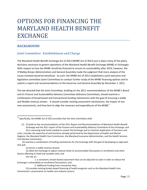# OPTIONS FOR FINANCING THE MARYLAND HEALTH BENEFIT EXCHANGE

# **BACKGROUND**

# **Joint Committee: Establishment and Charge**

The Maryland Health Benefit Exchange Act of 2012 (MHBE Act of 2012) put in place many of the policy decisions necessary to govern operations of the Maryland Health Benefit Exchange (MHBE or Exchange). With respect to how the MHBE should be financed to ensure its sustainability after 2014, however, the O'Malley-Brown Administration and General Assembly made the judgment that more analysis of the issues involved would be beneficial. As such, the MHBE Act of 2012 established a joint executive and legislative committee (Joint Committee) to conduct further study of the MHBE financing options and to submit a report and recommendations to the Governor and General Assembly by December 1, 2012.

The law directed that the Joint Committee, building on the 2011 recommendations of the MHBE's Board and its Finance and Sustainability Advisory Committee (Advisory Committee), should examine a combination of broad-based and transactional funding mechanisms with the goal of ensuring a stable and flexible revenue stream. It should consider existing assessment mechanisms, the impact of any new assessments, and how best to align the revenues and expenditures of the MHBE.<sup>1</sup>

(i) ensure a stable revenue stream;

(ii) allow the Exchange to adjust revenue levels to accommodate fluctuations in enrollment and other factors affecting its fixed and variable costs; and

(iii) rely on:

 $\overline{\phantom{a}}$ 

 $11$  Specifically, the MHBE Act of 2012 provides that the Joint Committee shall:

<sup>(1)</sup> (i) build on the recommendations of the 2011 Report and Recommendations of Maryland Health Benefit Exchange and the 2011 report of the Finance and Sustainability Advisory Committee of the Exchange; and (ii) in assessing total funds needed to sustain the Exchange and to minimize duplication of functions and costs, consider the expertise of and functions already performed by the Department of Health and Mental

Hygiene, the Maryland Health Care Commission, the Maryland Insurance Administration, and the Health Services Cost Review Commission;

 <sup>(2)</sup> examine a combination of funding mechanisms for the Exchange with the goal of developing an approach that will:

<sup>1.</sup> a consistent, broad–based assessment that can be adjusted to scale in order to reduce the Exchange's vulnerability to enrollment fluctuations; and

<sup>2.</sup> additional funding from transaction fees;

<sup>(3)</sup> consider existing broad–based financing of health programs such as the Maryland Health Care Commission's assessments on health care industry sectors;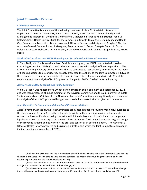# **Joint Committee Process**

#### *Committee Membership*

 $\overline{\phantom{a}}$ 

The Joint Committee is made up of the following members: Joshua M. Sharfstein, Secretary, Department of Health & Mental Hygiene; T. Eloise Foster, Secretary, Department of Budget and Management; Therese M. Goldsmith, Commissioner, Maryland Insurance Administration; John M. Colmers, Chair, Health Services Cost Review Commission; Craig P. Tanio, M.D., Chair, Maryland Health Care Commission; Meredith L. Borden, Assistant Attorney General and designee of Douglas F. Gansler, Attorney General; Senator Robert J. Garagiola; Senator James N. Robey; Delegate Robert A. Costa; Delegate James W. Hubbard; Darryl J. Gaskin, Ph.D, MHBE Board; and Thomas S. Saquella, M.A., MHBE Board.

#### *Work with Consultant and MHBE Financing and Sustainability Advisory Committee*

In May, 2012, with funds from its federal Establishment I grant, the MHBE contracted with Wakely Consulting Group, Inc. (Wakely) to assist the Joint Committee in its analysis of financing options. The MHBE's Financing Advisory Committee was then re-convened to assist Wakely in formulating the menu of financing options to be considered. Wakely presented the options to the Joint Committee in July, and then conducted its analysis and finished its report in September. It also worked with MHBE staff to conduct a separate analysis of MHBE's projected budget for 2015-17 to help inform financing.

#### *Advisory Committee Feedback and Public Comment*

Wakely's report was released for a 30-day period of written public comment on September 22, 2012, and was then presented at public meetings of the Advisory Committee and the Joint Committee in late September and early October. At the November 2nd Joint Committee meeting, Wakely also presented its analysis of the MHBE's projected budget, and stakeholders were invited to give oral comments.

#### *Joint Committee's Formulation of Report and Recommendations*

At its November 2 meeting, the Joint Committee articulated its goal of providing meaningful guidance to the Governor and General Assembly that would help inform their decision-making, but would also respect the broader fiscal and policy context in which the decisions would unfold, and the budget and legislative processes necessary to put them in place. It then set forth general principles to guide design of the revenue streams and its views on the pros and cons of each potential option. The Governor's Office of Health Reform prepared and circulated a draft report which the Joint Committee approved at its final meeting on November 14, 2012.

<sup>(4)</sup> taking into account all of the ramifications of and funding available under the Affordable Care Act and changes in the State's health care delivery system, consider the impact of any funding mechanism on health insurance premiums and the State's Medicare waiver;

<sup>(5)</sup> consider whether an assessment or transaction fee cap, formula, or other mechanism should be used to align the revenues and expenditures of the Exchange; and

<sup>(6)</sup> develop recommendations on the specific mechanisms that should be used to finance the Exchange for consideration by the General Assembly during the 2013 session. 2012 Laws of Maryland Chapter 152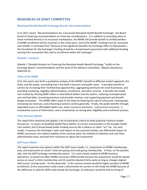# **RESOURCES OF JOINT COMMITTEE**

#### **Maryland Health Benefit Exchange Board's Recommendation**

In its 2011 report, "Recommendations for a Successful Maryland Health Benefit Exchange", the Board based its financing recommendation on three key considerations: 1) in addition to providing value to those involved directly in its insurance marketplace, the MHBE will provide benefit to all Marylanders; 2) MHBE enrollment will be uncertain in the initial years; and 3) the MHBE's funding must be consistent and reliable. It concluded that "because of the significant benefits the Exchange offers to Marylanders, the foundation for the Exchange's funding should be a broad-based assessment with additional funding coming from transaction fees tied to enrollment within the Exchange."

#### **Wakely's Analysis**

Wakely's "Detailed Analysis for Financing the Maryland Health Benefit Exchange," builds on the Exchange Board's recommendation and the work of the Advisory Committee. (Report attached as Appendix A).

#### *Value of the MHBE*

First, the report sets forth a qualitative analysis of the MHBE's benefit to different market segments, the State, and the public, concluding that it has both a business and public value. It provides benefit to carriers by increasing their membership opportunities, aggregating premiums for small businesses, and providing marketing, eligibility determinations, enrollment, and other services. It benefits the health care market by infusing \$600 million in new federal dollars into the system, reducing uncompensated care and bad debt, increasing premium and provider revenue, and supporting payment and benefit design innovation. The MHBE offers value to the State by lowering the rate of uninsured, creating jobs, increasing tax revenues, and enhancing economic activity generally. Finally, the public benefits through expanded access to affordable health care, lower insurance premiums, "uninsurance insurance," a trustworthy source of information, and a streamlined, no-wrong-door eligibility and enrollment process.

#### *Three Revenue Models*

The report then examines and applies a set of evaluative criteria to three potential revenue models focused on: 1) issuers of Qualified Health Plans (QHPs); 2) carriers and providers in the broader health care market; and 3) broad-based public funding sources like a tobacco or other "sin" tax. For each model, it assesses the Exchange's value and impact on the assessed market; any differential impact on MHBE consumers; the relative stability of the revenue yield, the method of collection and cash flow; administrative ease; and lead time necessary to adjust the assessment.

#### *QHP Issuer Model*

The report examines two options within the QHP issuer model, *i.e*., assessment on MHBE membership only, and assessment on issuers' total non-group and small group membership. It finds, on the positive side, that the QHP Exchange membership option: 1) is most closely related to MHBE business operations; 2) would not affect MHBE consumers differentially because the assessment would be spread across an issuer's entire membership; and 3) could be adjusted fairly easily as long as changes aligned with issuers' pricing cycles. On the downside: 1) the revenue stream would be highly sensitive to MHBE enrollment; 2) the assessment could create a disincentive for carriers to sell inside the MHBE because of the difference in yield for QHPs sold outside the Exchange; 3) collections would be tied to timing of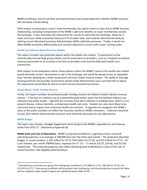MHBE enrollment; and 4) cash flow and administrative ease would depend on whether MHBE functions will ultimately include billing.

With respect to assessing an issuer's total membership, this option retains a close link to MHBE business relationships, including incorporation of the MHBE's spill-over benefits on issuer membership outside the Exchange. It also eliminates the disincentive for carriers to sell inside the Exchange, allows for a lower and more stable assessment because of its broader base, and could be administered easily by utilizing current Maryland Insurance Administration (MIA) collection processes. Finally, it would not affect MHBE consumers differentially and could be adjusted in concert with issuers' pricing cycles.

#### *Health Care Market-Based Revenue Models*

The report considers two potential options within the health care market: 1) assessment on the commercially-insured large group market; and 2) assessment on providers, such as a hospital net patient revenue assessment or an increase in the fees on providers that fund the Maryland Health Care Commission.

With respect to the evaluative criteria, these options reflect the MHBE's value to the health care market, would eliminate carriers' disincentive to sell in the Exchange, and would be spread across an expanded base, thereby allowing for a lower assessment and more stable revenue stream. The ability to leverage existing premium and provider assessments would create administrative ease, but lead time to adjust the assessment would likely be tied to current annual assessment processes.

#### *Broad-Based, Public Funding Sources*

Finally, the report considers broad-based public funding streams not linked to health industry revenue sources. It focuses on a tobacco tax as a potentially good option, given the link between tobacco use reduction and public health. Cigarette tax increases have led to declines in smoking rates, which in turn prevent disease, reduce mortality, and decrease health care costs. Smokers are also more likely to be uninsured and to require more extensive health care services. A cigarette tax recognizes the MHBE's value to the public and does not affect the insurance market or MHBE consumers.. Collection would be annual, with relative administrative ease but more lead time necessary for any adjustments.

#### *MHBE Budget*

 $\overline{\phantom{a}}$ 

The report also includes a Budget Supplement which projects the MHBE's expenditures and revenue needs from 2015-17. (Attached as Appendix B).

**MHBE Scale and Cost of Operations**: MHBE's projected enrollment, a significant driver of overall operating expenses, is an average of 198,000 lives over the three-year period. <sup>2</sup> The projected operating budget, in round numbers, is \$35 million for CY'15, \$34 million for CY'16, and \$33 million for CY'17. On a per member, per month (PMPM) basis, expenses for CY '15 – '17 will be \$16.75, \$14.66, and \$12.64 respectively. The projected expenses also reflect allocating back to Medicaid its share of the cost of shared functions, like eligibility determinations.

 $^2$  Estimated year-end total non-group and small group enrollment is 177,080 for CY'15, 196,234 for CY'16, and 221,433 for CY'17. Non-group enrollment will be greater than small group, and these projections assume the State will not establish a Basic Health Program for individuals below 200% of FPL.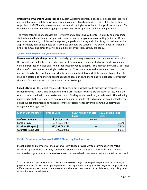**Breakdown of Operating Expenses:** The Budget Supplement breaks out operating expenses into fixed and variable costs, and those with components of each. Fixed costs will remain relatively constant regardless of MHBE scale, whereas variable costs will be highly sensitive to changes in enrollment. This breakdown is important in managing and projecting MHBE operating budgets going forward.

The major categories of expenses are IT systems and operations (call center, eligibility and enrollment, staff salary and benefits, and navigators). Lesser expense categories are consulting (actuarial, IT, and reinsurance-related), facilities and equipment, appeals, marketing and advertising, and administrative. Approximately 61% of estimated costs are fixed and 39% are variable. The budget does not include broker commissions, since they will be paid directly by carriers, as they are today.

#### *Specific Financing Options for Consideration*

**Recommended Hybrid Approach:**Acknowledging that a single assessment on one market would be theoretically possible, the report advises against this approach in favor of a hybrid model combining variable, transaction-based and fixed, broad-based revenue streams. This approach would: 1) decrease the rate of assessment on any single market sector; 2) ensure a more stable revenue stream not tied exclusively to MHBE enrollment uncertainty and variability; 3) link part of the funding to enrollment, making it scalable to financing needs that change based on enrollment; and 4) most accurately reflect the multi-faceted business and pubic value of the Exchange.

**Specific Options**: The report then sets forth specific options that would provide the requisite \$35 million revenue stream. The options under the QHP model are variable/transaction-based, while the options under the health care market and public funding models are fixed/broad-based. The following chart sets forth the rate of assessment required under examples of each model when adjusted for the actual budget projections and revised estimates of cigarette tax revenue from the Department of Budget and Management.<sup>3</sup>

| <b>Market Denominator</b>   | <b>Revenue Base</b> | \$13.7 Million Variable   \$21.3 Million Fixed<br><b>Costs</b> | <b>Costs</b> |
|-----------------------------|---------------------|----------------------------------------------------------------|--------------|
| <b>NG/SG Combined</b>       | \$2,936,173,431     | 0.46%                                                          |              |
| <b>Large Group</b>          | \$3,545,634,074     | $- -$                                                          | 0.60%        |
| <b>Provider (Hospital)</b>  | \$15,091,683,229    | $- -$                                                          | 0.14%        |
| <b>Cigarette Packs Sold</b> | 199,500,000         | $- -$                                                          | \$0.18       |

#### **Public Comment on Proposed MHBE Financing Mechanisms**

 $\overline{a}$ 

Stakeholders and members of the public were invited to provide written comment on the MHBE financing options during a 30-day comment period following release of the Wakely report. Eleven stakeholder organizations submitted comments; six were health insurance carriers, dental carriers, and

 $3$  The report uses a placeholder of \$42 million for the MHBE budget, pending the preparation of actual budget projections as set forth in the Budget Supplement. The Department of Budget and Management projects slightly different revenue yields on the cigarette tax increase because it assumes elasticity of demand, *i.e*. smoking rates will decline as tax rates increase.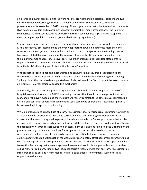an insurance industry association; three were hospital providers and a hospital association; and two were consumer advocacy organizations. The Joint Committee also invited oral stakeholder presentations at its November 2, 2012 meeting. Three organizations that submitted written comments (two hospital providers and a consumer advocacy organization) made presentations. The following summarizes the key issues raised and addressed in the stakeholder input. (Attached as Appendix C is a chart setting forth public comment in greater detail and by organization).

Several organizations provided comments in support of general approaches or principles for financing MHBE operations. Six recommended the hybrid approach that would incorporate more than one revenue source; two groups commented on the importance of transparency in the funding plan; and two groups stated that assessments for the purpose of funding MHBE operations should be limited to the minimum amount necessary to cover costs. No other organizations submitted statements in opposition to these comments. Additionally, these positions are consistent with the feedback received from the MHBE's Financing and Sustainability Advisory Committee.

With respect to specific financing mechanisms, one consumer advocacy group supported use of a tobacco excise tax increase because of its additional public health benefit of reducing teen smoking. Similarly, four other stakeholders supported use of a broad-based "sin" tax, citing a tobacco excise tax as an example. No organizations opposed this mechanism.

Additionally, the three hospital provider organizations submitted comments opposing the use of a hospital assessment to fund the MHBE, expressing concerns that it could have a negative impact on Maryland's "all-payer" system and the Medicare waiver. By contrast, three other groups representing carriers and consumer advocates recommended using some type of provider assessment as part of a broad-based hybrid approach to financing.

While no organizations opposed use of a carrier assessment, several raised issues regarding how such an assessment could be structured. First, two carriers and one consumer organization supported an assessment that would be applied to plans sold inside and outside the Exchange to ensure that no plans are placed at a competitive disadvantage and to spread the cost across a larger enrollment base. Taking the opposite view, three carriers supported an assessment only on plans sold inside the Exchange on the grounds that only those plans should pay for its operations. Second, the two dental carriers recommended that assessments on plans be made in proportion to the percentage of premium collected, stating that a flat transaction fee would disproportionately affect consumers purchasing plans, such as dental plans, with lower premiums. Conversely, two health insurance carriers supported a flat transaction fee, stating that a percentage-based assessment would place a greater burden on carriers selling higher priced plans. Finally, two insurance carriers recommended that any carrier assessment be structured so as to exclude it from medical loss ratio calculations. No comments were offered in opposition to this view.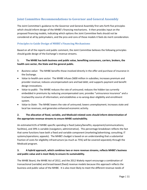# **Joint Committee Recommendations to Governor and General Assembly**

The Joint Committee's guidance to the Governor and General Assembly first sets forth five principles which should inform design of the MHBE's financing mechanisms. It then provides input on the proposed financing models, indicating which options the Joint Committee feels should not be considered at all by policymakers, and the pros and cons of those models it feels do merit consideration.

#### **Principles to Guide Design of MHBE's Financing Mechanisms**

Based on all of the reports and public comment, the Joint Committee believes the following principles should guide design of the Exchange's revenue streams.

#### **1. The MHBE has both business and public value, benefiting consumers, carriers, brokers, the health care sector, the State and the general public.**

- *Business value***:** The MHBE benefits those involved directly in the offer and purchase of insurance in the Exchange.
- *Value to health care sector***:** The MHBE infuses \$600 million in subsidies; increases premium and provider revenue; reduces uncompensated care and bad debt; and supports payment and benefit design innovations.
- *Value to public*: The MHBE reduces the rate of uninsured; reduces the hidden tax currently embedded in premiums by reducing uncompensated care; provides "uninsurance insurance" and a trustworthy source of information; and establishes a no-wrong-door eligibility and enrollment system.
- *Value to State:*The MHBE lowers the rate of uninsured; lowers unemployment; increases state and local tax revenues; and generates enhanced economic activity.

#### **2. The allocation of fixed, variable, and Medicaid-related costs should inform determination of the appropriate revenue streams to ensure MHBE sustainability.**

An estimated 61% of MHBE-specific spending is fixed (salary/benefits; equipment/communications; facilities), and 39% is variable (navigators; administrative). This percentage breakdown reflects the fact that some functions have both a fixed and variable component (marketing/advertising; consulting; IT systems/operations; appeals). The MHBE's budget is based on an understanding that a substantial fraction of costs for eligibility infrastructure (as much as 75%) will be covered separately through the Medicaid program.

#### **3. A hybrid approach, which combines two or more revenue streams, reflects MHBE's business and public value and is most likely to ensure its sustainability.**

The MHBE Board, the MHBE Act of 2012, and the 2012 Wakely report encourage a combination of transactional (variable) and broad-based (fixed) revenue models because this approach reflects the business and public value of the MHBE. It is also most likely to meet the different revenue needs of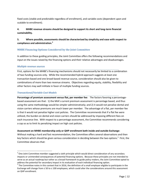fixed costs (stable and predictable regardless of enrollment), and variable costs (dependent upon and scalable to enrollment).

#### **4. MHBE revenue streams should be designed to support its short and long-term financial sustainability.**

#### **5. Where possible, assessments should be characterized by simplicity and ease with respect to compliance and administration.<sup>4</sup>**

#### **MHBE Financing Options Considered by the Joint Committee**

In addition to these guiding principles, the Joint Committee offers the following recommendations and input on the issues raised by the financing options and their relative advantages and disadvantages.

#### *Multiple revenue sources*

 $\overline{\phantom{a}}$ 

First, options for the MHBE's financing mechanisms should not necessarily be limited to a combination of two funding sources only. While the recommended hybrid approach suggests at least one transaction-based and one broad-based revenue source, consideration should also be given to combinations of more than two revenue streams. Objectives regarding equity, stability, flexibility and other factors may well militate in favor of multiple funding sources.

#### *Transactional/Variable Cost Models*

**Percentage of premium assessment versus flat, per member fee**: The factors favoring a percentagebased assessment are that: 1) the MIA's current premium assessment is percentage based, and thus using the same methodology would be simpler administratively; and 2) it would not penalize dental and vision carriers whose premiums are much lower per member. The advantage of a flat, per member fee is that it would not penalize higher cost policies. The Committee recommends that if a flat fee were utilized, the burden on dental and vision carriers should be addressed by imposing different fees on each insurance line. With respect to a percentage assessment, the Committee recommends considering a cap so as to limit its penalizing impact on high cost policies.

#### **Assessment on MHBE membership only or QHP enrollment both inside and outside Exchange**:

Without making a hard and fast recommendation, the Committee offers several observations and then key factors which should be given serious consideration in deciding between the two options.<sup>5</sup> First, the Committee observes that:

 $^{4}$  One Joint Committee member suggested a sixth principle which would direct consideration of any secondary impacts or unintended consequences of potential financing options. Because these principles are not intended to serve as an actual roadmap but rather as a broad framework to guide policy-makers, the Joint Committee opted to address the potential for secondary impact in its evaluation of each individual financing option.

 $^5$  The Committee notes in this context that in 2016, the definition of a small employer eligible to participate in the Exchange will change from ≤ 50 to ≤ 100 employees, which could alter the considerations around this assessment on QHP enrollment.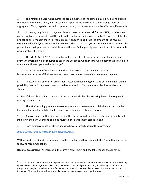1. The Affordable Care Act requires the premium rates of the same plan sold inside and outside the Exchange to be the same, and an issuer's risk pool inside and outside the Exchange must be aggregated. Thus, regardless of which options chosen, consumers would not be affected differentially;

2. Assessing only QHP Exchange enrollment creates a business risk for the MHBE, both because carriers will receive less yield on QHPs sold in the Exchange, and because the MHBE will have difficulty projecting enrollment in the initial years precisely enough to calibrate the amount of the revenue stream needed if relying only on Exchange QHPs. Thus, assessing QHPs in both markets is more fiscally prudent, and policymakers can revisit later whether an Exchange-only assessment might be preferable once enrollment is stable;

3. The MHBE Act of 2012 provides that at least initially, all issuers which meet the minimum premium threshold will be required to sell in the Exchange, which means functionally that all carriers in Maryland will participate in the Exchange; $6<sup>6</sup>$ 

4. Assessing issuers' enrollment in both markets would be less administratively burdensome since the MIA already collects an assessment on issuers' entire membership; and

5. In establishing any carrier assessment, attention should be given to its potential effect on the possibility that reciprocal assessments could be imposed on Maryland-domiciled insurers by other states.

In view of these observations, the Committee recommends that the following factors be weighed in making this selection:

1. The MIA's existing premium assessment renders an assessment both inside and outside the Exchange the simpler path for the Exchange, avoiding a reinvention of the wheel;

2. An assessment both inside and outside the Exchange will establish greater predictability and stability in the early years and could be revisited once enrollment stabilizes; and

3. Both options give issuers flexibility as to how to spread costs of the assessment.

#### *Broad-Based/Fixed Cost Health Care Market Models*

 $\overline{a}$ 

With respect to options for assessments on the broader health care market, the Committee makes the following recommendations:

**Hospital assessment**: An increase in the current assessment on hospital revenues should not be

 $^6$  The law sets forth a minimum annual premium threshold above which a carrier must participate in the Exchange (\$10 million in the non-group market and \$20 million in the small group market), but the only carrier with a footprint in Maryland small enough to fall below the threshold has already indicated its intent to sell in the Exchange. This requirement does not apply, however, to managed care organizations.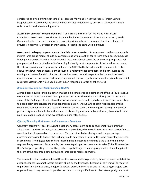considered as a viable funding mechanism. Because Maryland is near the federal limit in using a hospital-based assessment, and because that limit may be lowered by Congress, this option is not a reliable and sustainable funding source.

**Assessment on other licensed providers**: If an increase in the current Maryland Health Care Commission assessment is considered, it should be limited to a modest increase over existing levels. One complexity is that determining the correct individual rates of assessment for different kinds of providers not similarly situated in their ability to recoup the costs will be difficult.

**Assessment on large group commercial health insurance market**: An assessment on the commercially insured large group market should be considered as a viable option for MHBE's broad-based, fixed cost funding mechanism. Working in concert with the transactional-based fee on the non-group and small group market, it carries the benefit of reaching indirectly most components of the health care system, thereby recognizing and capturing the value of the MHBE to the broader health care market. It also allows for a lower rate of assessment because of a relatively expansive base, and it can leverage the existing mechanism for MIA collection of premium taxes. As with respect to the transaction-based assessment on the non-group and small group markets, however, attention should be given to potential reciprocal assessments which could be levied on Maryland insurers by other states.

#### *Broad-based/Fixed Cost Public Funding Models*

A broad-based public funding mechanism should be considered as a component of the MHBE's revenue stream, and an increase in the tax on cigarettes constitutes the option most closely tied to the public value of the Exchange. Studies show that tobacco users are more likely to be uninsured and more likely to need health care services than the general population. About 15% of adult Marylanders smoke; should this number decline as a result of a modest tax increase, the resulting cost savings and greater productivity would benefit the entire state. If this funding mechanism is considered, there should be a plan to maintain revenue in the event that smoking rates decline.

#### *Effect of Financing Options on Health Insurance Premiums*

Generally, carriers will pass through the cost of any assessment on to consumers through premium adjustments. In the same vein, an assessment on providers, which would in turn increase carriers' costs, would similarly be passed on to consumers. Thus, all other factors being equal, the percentage assessment imposed to finance the Exchange could be expected to cause the same percentage increase in premiums. The biggest determinant regarding the increase to premiums is the size of the market segment being assessed. For example, the percentage impact on premiums to raise \$35 million to offset the Exchange's operating costs will be greater if applied to just the non-group market, than if applied to the sum of the non-group, small group and large group market segments.

The assumption that carriers will load the entire assessment into premiums, however, does not take into account changes in market factors brought about by the Exchange. Because all carriers will be required to participate in the Exchange, (subject to certain premium thresholds and not including managed care organizations), it may create competitive pressure to price qualified health plans strategically. A robust